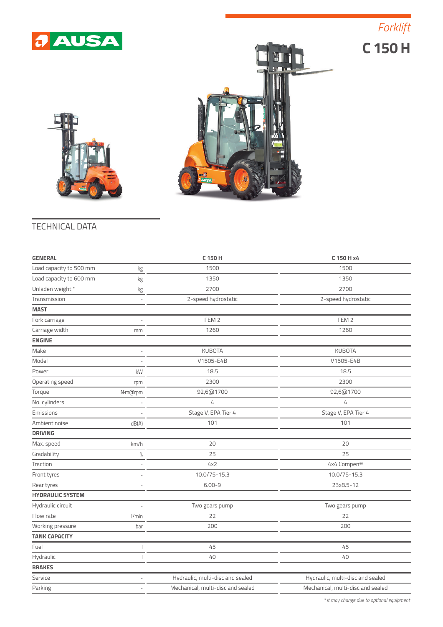





## TECHNICAL DATA

| <b>GENERAL</b>          |                   | C 150 H                           | C 150 H x4                        |  |
|-------------------------|-------------------|-----------------------------------|-----------------------------------|--|
| Load capacity to 500 mm | kg                | 1500                              | 1500                              |  |
| Load capacity to 600 mm | kg                | 1350                              | 1350                              |  |
| Unladen weight *        | kg                | 2700                              | 2700                              |  |
| Transmission            | ÷,                | 2-speed hydrostatic               | 2-speed hydrostatic               |  |
| <b>MAST</b>             |                   |                                   |                                   |  |
| Fork carriage           |                   | FEM <sub>2</sub>                  | FEM <sub>2</sub>                  |  |
| Carriage width          | mm                | 1260                              | 1260                              |  |
| <b>ENGINE</b>           |                   |                                   |                                   |  |
| Make                    | L,                | <b>KUBOTA</b>                     | <b>KUBOTA</b>                     |  |
| Model                   | J.                | V1505-E4B                         | V1505-E4B                         |  |
| Power                   | kW                | 18.5                              | 18.5                              |  |
| Operating speed         | rpm               | 2300                              | 2300                              |  |
| Torque                  | N·m@rpm           | 92,6@1700                         | 92,6@1700                         |  |
| No. cylinders           |                   | $\overline{4}$                    | $\overline{4}$                    |  |
| Emissions               |                   | Stage V, EPA Tier 4               | Stage V, EPA Tier 4               |  |
| Ambient noise           | dB(A)             | 101                               | 101                               |  |
| <b>DRIVING</b>          |                   |                                   |                                   |  |
| Max. speed              | km/h              | 20                                | 20                                |  |
| Gradability             | $\%$              | 25                                | 25                                |  |
| Traction                | ÷,                | 4x2                               | 4x4 Compen®                       |  |
| Front tyres             | J.                | 10.0/75-15.3                      | 10.0/75-15.3                      |  |
| Rear tyres              | ÷                 | $6.00 - 9$                        | 23x8.5-12                         |  |
| <b>HYDRAULIC SYSTEM</b> |                   |                                   |                                   |  |
| Hydraulic circuit       | $\qquad \qquad -$ | Two gears pump                    | Two gears pump                    |  |
| Flow rate               | l/min             | 22                                | 22                                |  |
| Working pressure        | bar               | 200                               | 200                               |  |
| <b>TANK CAPACITY</b>    |                   |                                   |                                   |  |
| Fuel                    |                   | 45                                | 45                                |  |
| Hydraulic               |                   | 40                                | 40                                |  |
| <b>BRAKES</b>           |                   |                                   |                                   |  |
| Service                 |                   | Hydraulic, multi-disc and sealed  | Hydraulic, multi-disc and sealed  |  |
| Parking                 | L,                | Mechanical, multi-disc and sealed | Mechanical, multi-disc and sealed |  |
|                         |                   |                                   |                                   |  |

*\* It may change due to optional equipment*

*Forklift*

**C 150 H**